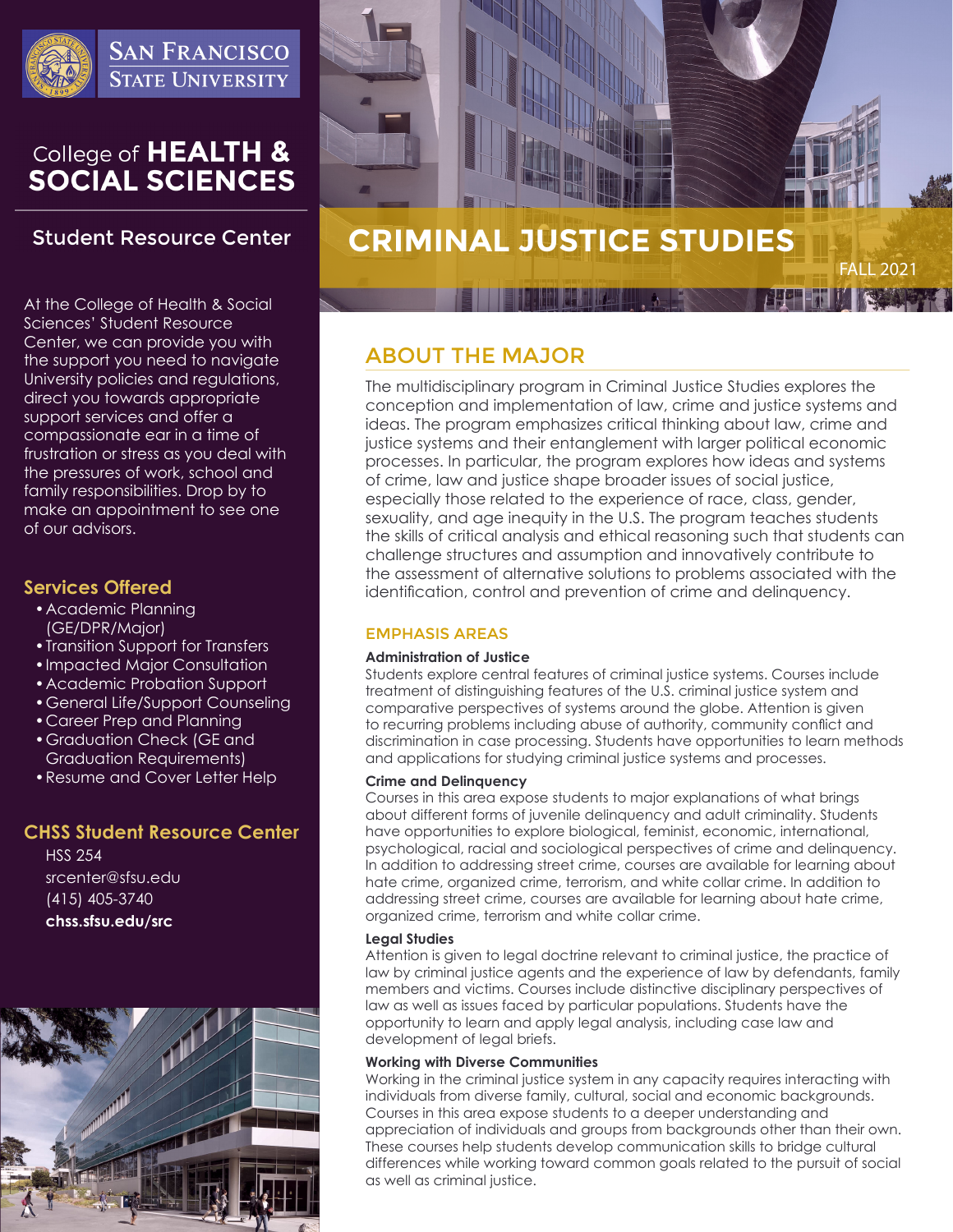

**SAN FRANCISCO STATE UNIVERSITY** 

# College of HEALTH &<br>SOCIAL SCIENCES

# **Student Resource Center**

At the College of Health & Social Sciences' Student Resource Center, we can provide you with the support you need to navigate University policies and regulations, direct you towards appropriate support services and offer a compassionate ear in a time of frustration or stress as you deal with the pressures of work, school and family responsibilities. Drop by to make an appointment to see one of our advisors.

### **Services Offered**

- •Academic Planning (GE/DPR/Major)
- •Transition Support for Transfers
- •Impacted Major Consultation
- •Academic Probation Support
- •General Life/Support Counseling
- •Career Prep and Planning
- •Graduation Check (GE and Graduation Requirements)
- •Resume and Cover Letter Help

## **CHSS Student Resource Center**

HSS 254 srcenter@sfsu.edu (415) 405-3740 **chss.sfsu.edu/src**





# ABOUT THE MAJOR

The multidisciplinary program in Criminal Justice Studies explores the conception and implementation of law, crime and justice systems and ideas. The program emphasizes critical thinking about law, crime and justice systems and their entanglement with larger political economic processes. In particular, the program explores how ideas and systems of crime, law and justice shape broader issues of social justice, especially those related to the experience of race, class, gender, sexuality, and age inequity in the U.S. The program teaches students the skills of critical analysis and ethical reasoning such that students can challenge structures and assumption and innovatively contribute to the assessment of alternative solutions to problems associated with the identification, control and prevention of crime and delinquency.

### EMPHASIS AREAS

### **Administration of Justice**

Students explore central features of criminal justice systems. Courses include treatment of distinguishing features of the U.S. criminal justice system and comparative perspectives of systems around the globe. Attention is given to recurring problems including abuse of authority, community conflict and discrimination in case processing. Students have opportunities to learn methods and applications for studying criminal justice systems and processes.

### **Crime and Delinquency**

Courses in this area expose students to major explanations of what brings about different forms of juvenile delinquency and adult criminality. Students have opportunities to explore biological, feminist, economic, international, psychological, racial and sociological perspectives of crime and delinquency. In addition to addressing street crime, courses are available for learning about hate crime, organized crime, terrorism, and white collar crime. In addition to addressing street crime, courses are available for learning about hate crime, organized crime, terrorism and white collar crime.

### **Legal Studies**

Attention is given to legal doctrine relevant to criminal justice, the practice of law by criminal justice agents and the experience of law by defendants, family members and victims. Courses include distinctive disciplinary perspectives of law as well as issues faced by particular populations. Students have the opportunity to learn and apply legal analysis, including case law and development of legal briefs.

### **Working with Diverse Communities**

Working in the criminal justice system in any capacity requires interacting with individuals from diverse family, cultural, social and economic backgrounds. Courses in this area expose students to a deeper understanding and appreciation of individuals and groups from backgrounds other than their own. These courses help students develop communication skills to bridge cultural differences while working toward common goals related to the pursuit of social as well as criminal justice.